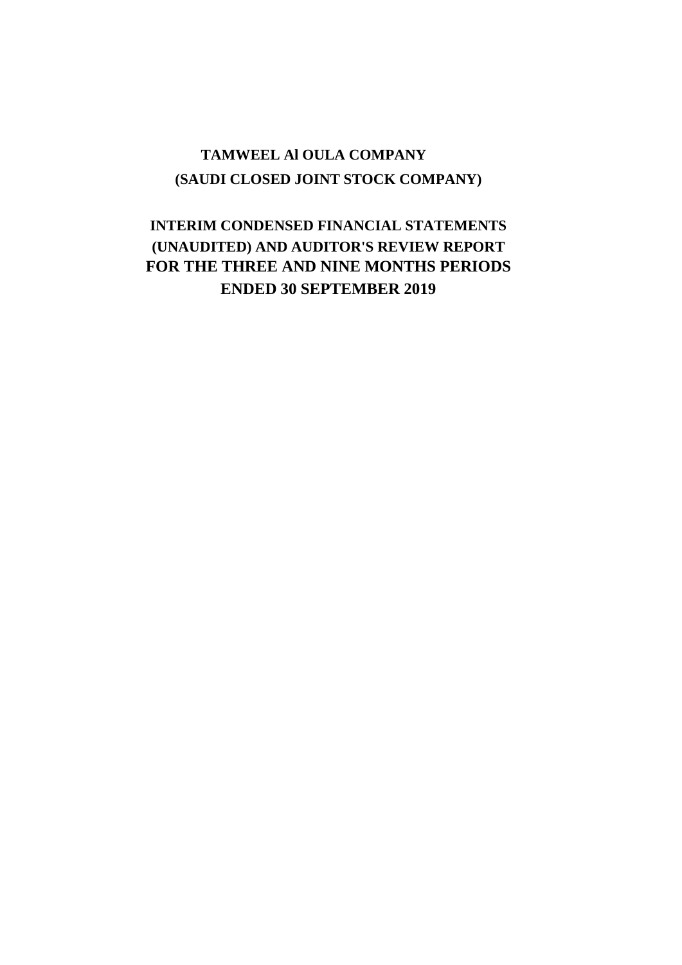# **(SAUDI CLOSED JOINT STOCK COMPANY) TAMWEEL Al OULA COMPANY**

# **INTERIM CONDENSED FINANCIAL STATEMENTS (UNAUDITED) AND AUDITOR'S REVIEW REPORT FOR THE THREE AND NINE MONTHS PERIODS ENDED 30 SEPTEMBER 2019**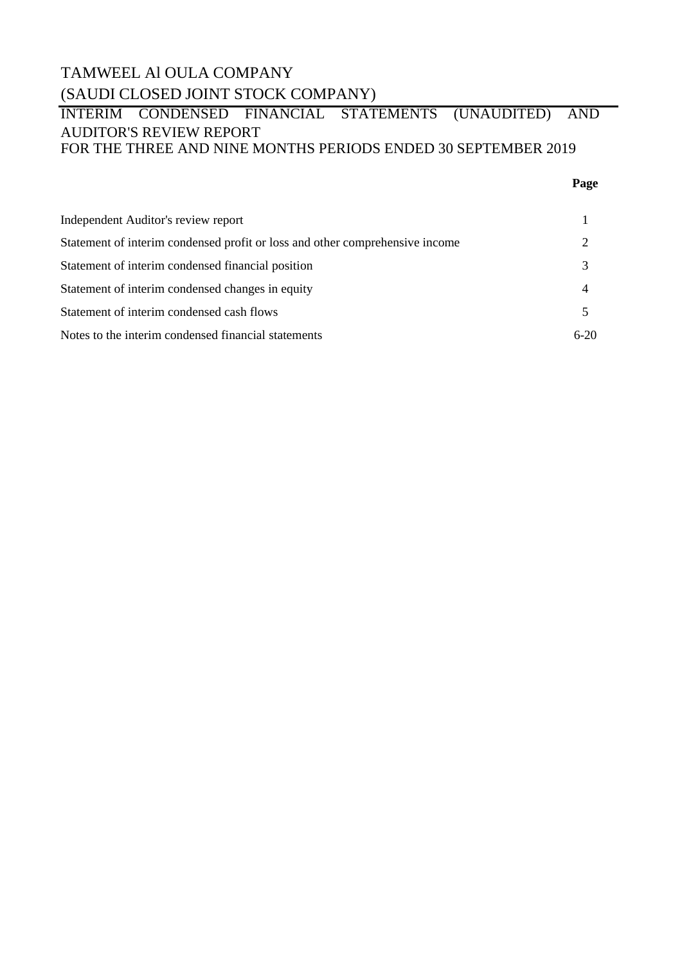# TAMWEEL Al OULA COMPANY (SAUDI CLOSED JOINT STOCK COMPANY)

### INTERIM CONDENSED FINANCIAL STATEMENTS (UNAUDITED) AND AUDITOR'S REVIEW REPORT FOR THE THREE AND NINE MONTHS PERIODS ENDED 30 SEPTEMBER 2019

### **Page**

| Independent Auditor's review report                                          |        |
|------------------------------------------------------------------------------|--------|
| Statement of interim condensed profit or loss and other comprehensive income |        |
| Statement of interim condensed financial position                            |        |
| Statement of interim condensed changes in equity                             |        |
| Statement of interim condensed cash flows                                    |        |
| Notes to the interim condensed financial statements                          | $6-20$ |
|                                                                              |        |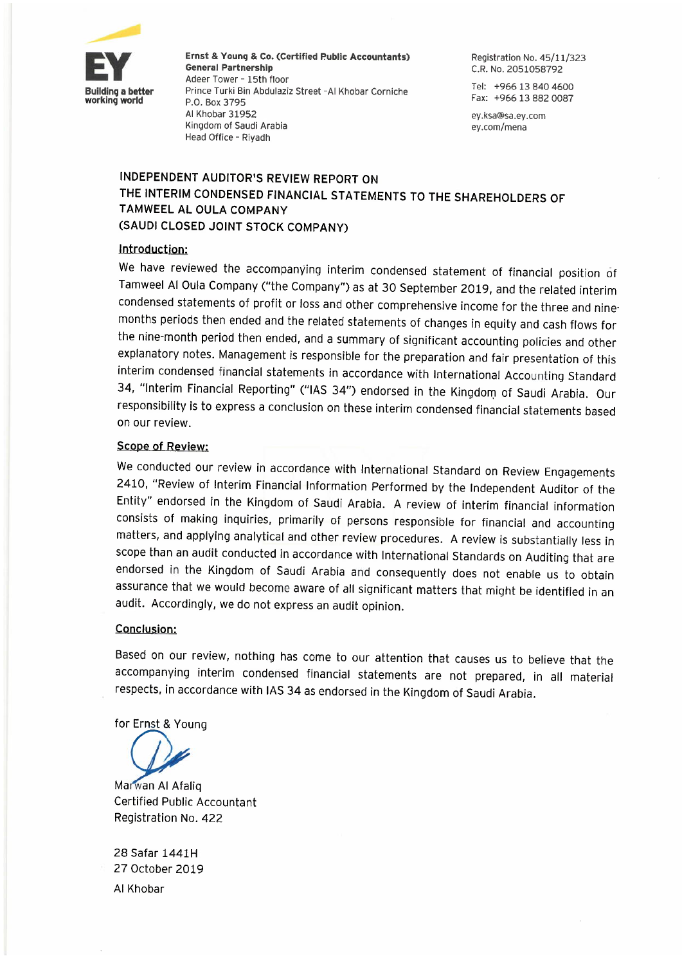

Ernst & Young & Co. (Certified Public Accountants) **General Partnership** Adeer Tower - 15th floor Prince Turki Bin Abdulaziz Street -Al Khobar Corniche P.O. Box 3795 Al Khobar 31952 Kingdom of Saudi Arabia Head Office - Riyadh

Registration No. 45/11/323 C.R. No. 2051058792

Tel: +966 13 840 4600 Fax: +966 13 882 0087

ey.ksa@sa.ey.com ey.com/mena

### INDEPENDENT AUDITOR'S REVIEW REPORT ON THE INTERIM CONDENSED FINANCIAL STATEMENTS TO THE SHAREHOLDERS OF **TAMWEEL AL OULA COMPANY** (SAUDI CLOSED JOINT STOCK COMPANY)

### Introduction:

We have reviewed the accompanying interim condensed statement of financial position of Tamweel Al Oula Company ("the Company") as at 30 September 2019, and the related interim condensed statements of profit or loss and other comprehensive income for the three and ninemonths periods then ended and the related statements of changes in equity and cash flows for the nine-month period then ended, and a summary of significant accounting policies and other explanatory notes. Management is responsible for the preparation and fair presentation of this interim condensed financial statements in accordance with International Accounting Standard 34, "Interim Financial Reporting" ("IAS 34") endorsed in the Kingdom of Saudi Arabia. Our responsibility is to express a conclusion on these interim condensed financial statements based on our review.

### **Scope of Review:**

We conducted our review in accordance with International Standard on Review Engagements 2410, "Review of Interim Financial Information Performed by the Independent Auditor of the Entity" endorsed in the Kingdom of Saudi Arabia. A review of interim financial information consists of making inquiries, primarily of persons responsible for financial and accounting matters, and applying analytical and other review procedures. A review is substantially less in scope than an audit conducted in accordance with International Standards on Auditing that are endorsed in the Kingdom of Saudi Arabia and consequently does not enable us to obtain assurance that we would become aware of all significant matters that might be identified in an audit. Accordingly, we do not express an audit opinion.

### **Conclusion:**

Based on our review, nothing has come to our attention that causes us to believe that the accompanying interim condensed financial statements are not prepared, in all material respects, in accordance with IAS 34 as endorsed in the Kingdom of Saudi Arabia.

for Ernst & Young

Marwan Al Afalio **Certified Public Accountant** Registration No. 422

28 Safar 1441H 27 October 2019 Al Khobar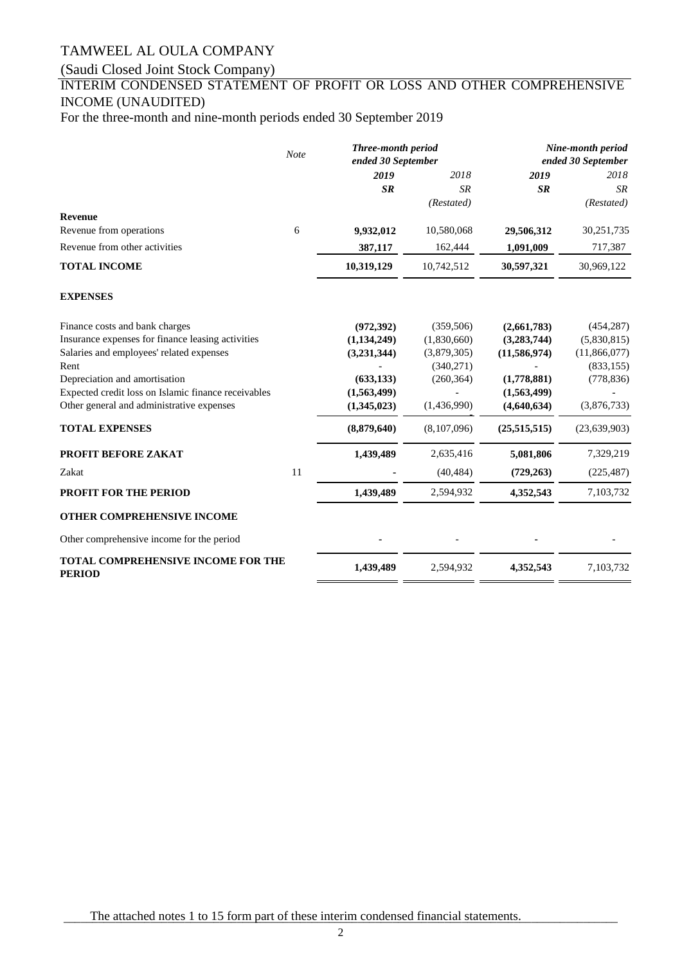# (Saudi Closed Joint Stock Company)

### INTERIM CONDENSED STATEMENT OF PROFIT OR LOSS AND OTHER COMPREHENSIVE INCOME (UNAUDITED)

For the three-month and nine-month periods ended 30 September 2019

|                                                            | <b>Note</b> | Three-month period<br>ended 30 September |             |                | Nine-month period<br>ended 30 September |
|------------------------------------------------------------|-------------|------------------------------------------|-------------|----------------|-----------------------------------------|
|                                                            |             | 2019                                     | 2018        | 2019           | 2018                                    |
|                                                            |             | <b>SR</b>                                | <b>SR</b>   | <b>SR</b>      | SR                                      |
|                                                            |             |                                          | (Restated)  |                | (Restated)                              |
| <b>Revenue</b><br>Revenue from operations                  | 6           | 9,932,012                                | 10,580,068  | 29,506,312     | 30,251,735                              |
| Revenue from other activities                              |             |                                          |             |                |                                         |
|                                                            |             | 387,117                                  | 162,444     | 1,091,009      | 717,387                                 |
| <b>TOTAL INCOME</b>                                        |             | 10,319,129                               | 10,742,512  | 30,597,321     | 30,969,122                              |
| <b>EXPENSES</b>                                            |             |                                          |             |                |                                         |
| Finance costs and bank charges                             |             | (972, 392)                               | (359, 506)  | (2,661,783)    | (454, 287)                              |
| Insurance expenses for finance leasing activities          |             | (1,134,249)                              | (1,830,660) | (3,283,744)    | (5,830,815)                             |
| Salaries and employees' related expenses                   |             | (3,231,344)                              | (3,879,305) | (11, 586, 974) | (11,866,077)                            |
| Rent                                                       |             |                                          | (340,271)   |                | (833, 155)                              |
| Depreciation and amortisation                              |             | (633, 133)                               | (260, 364)  | (1,778,881)    | (778, 836)                              |
| Expected credit loss on Islamic finance receivables        |             | (1,563,499)                              |             | (1,563,499)    |                                         |
| Other general and administrative expenses                  |             | (1,345,023)                              | (1,436,990) | (4,640,634)    | (3,876,733)                             |
| <b>TOTAL EXPENSES</b>                                      |             | (8,879,640)                              | (8,107,096) | (25,515,515)   | (23,639,903)                            |
| PROFIT BEFORE ZAKAT                                        |             | 1,439,489                                | 2,635,416   | 5,081,806      | 7,329,219                               |
| Zakat                                                      | 11          |                                          | (40, 484)   | (729, 263)     | (225, 487)                              |
| <b>PROFIT FOR THE PERIOD</b>                               |             | 1,439,489                                | 2,594,932   | 4,352,543      | 7,103,732                               |
| OTHER COMPREHENSIVE INCOME                                 |             |                                          |             |                |                                         |
| Other comprehensive income for the period                  |             |                                          |             |                |                                         |
| <b>TOTAL COMPREHENSIVE INCOME FOR THE</b><br><b>PERIOD</b> |             | 1,439,489                                | 2,594,932   | 4,352,543      | 7,103,732                               |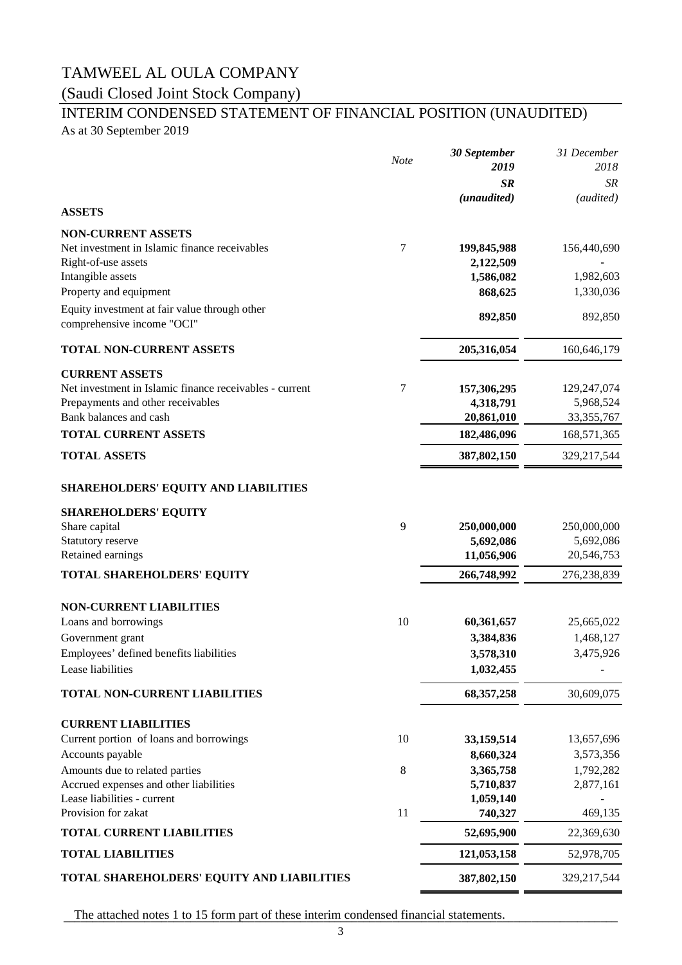### (Saudi Closed Joint Stock Company)

# INTERIM CONDENSED STATEMENT OF FINANCIAL POSITION (UNAUDITED)

As at 30 September 2019

|                                                         | Note | 30 September | 31 December   |
|---------------------------------------------------------|------|--------------|---------------|
|                                                         |      | 2019         | 2018          |
|                                                         |      | <b>SR</b>    | SR            |
| <b>ASSETS</b>                                           |      | (unaudited)  | (audited)     |
| <b>NON-CURRENT ASSETS</b>                               |      |              |               |
| Net investment in Islamic finance receivables           | 7    | 199,845,988  | 156,440,690   |
| Right-of-use assets                                     |      | 2,122,509    |               |
| Intangible assets                                       |      | 1,586,082    | 1,982,603     |
| Property and equipment                                  |      | 868,625      | 1,330,036     |
| Equity investment at fair value through other           |      | 892,850      | 892,850       |
| comprehensive income "OCI"                              |      |              |               |
| <b>TOTAL NON-CURRENT ASSETS</b>                         |      | 205,316,054  | 160,646,179   |
| <b>CURRENT ASSETS</b>                                   |      |              |               |
| Net investment in Islamic finance receivables - current | 7    | 157,306,295  | 129,247,074   |
| Prepayments and other receivables                       |      | 4,318,791    | 5,968,524     |
| Bank balances and cash                                  |      | 20,861,010   | 33, 355, 767  |
| <b>TOTAL CURRENT ASSETS</b>                             |      | 182,486,096  | 168,571,365   |
| <b>TOTAL ASSETS</b>                                     |      | 387,802,150  | 329,217,544   |
| <b>SHAREHOLDERS' EQUITY AND LIABILITIES</b>             |      |              |               |
| <b>SHAREHOLDERS' EQUITY</b>                             |      |              |               |
| Share capital                                           | 9    | 250,000,000  | 250,000,000   |
| Statutory reserve                                       |      | 5,692,086    | 5,692,086     |
| Retained earnings                                       |      | 11,056,906   | 20,546,753    |
| <b>TOTAL SHAREHOLDERS' EQUITY</b>                       |      | 266,748,992  | 276,238,839   |
| <b>NON-CURRENT LIABILITIES</b>                          |      |              |               |
| Loans and borrowings                                    | 10   | 60,361,657   | 25,665,022    |
| Government grant                                        |      | 3,384,836    | 1,468,127     |
| Employees' defined benefits liabilities                 |      | 3,578,310    | 3,475,926     |
| Lease liabilities                                       |      | 1,032,455    |               |
| <b>TOTAL NON-CURRENT LIABILITIES</b>                    |      | 68, 357, 258 | 30,609,075    |
| <b>CURRENT LIABILITIES</b>                              |      |              |               |
| Current portion of loans and borrowings                 | 10   | 33,159,514   | 13,657,696    |
| Accounts payable                                        |      | 8,660,324    | 3,573,356     |
| Amounts due to related parties                          | 8    | 3,365,758    | 1,792,282     |
| Accrued expenses and other liabilities                  |      | 5,710,837    | 2,877,161     |
| Lease liabilities - current<br>Provision for zakat      | 11   | 1,059,140    | 469,135       |
|                                                         |      | 740,327      | 22,369,630    |
| <b>TOTAL CURRENT LIABILITIES</b>                        |      | 52,695,900   |               |
| <b>TOTAL LIABILITIES</b>                                |      | 121,053,158  | 52,978,705    |
| TOTAL SHAREHOLDERS' EQUITY AND LIABILITIES              |      | 387,802,150  | 329, 217, 544 |

The attached notes 1 to 15 form part of these interim condensed financial statements.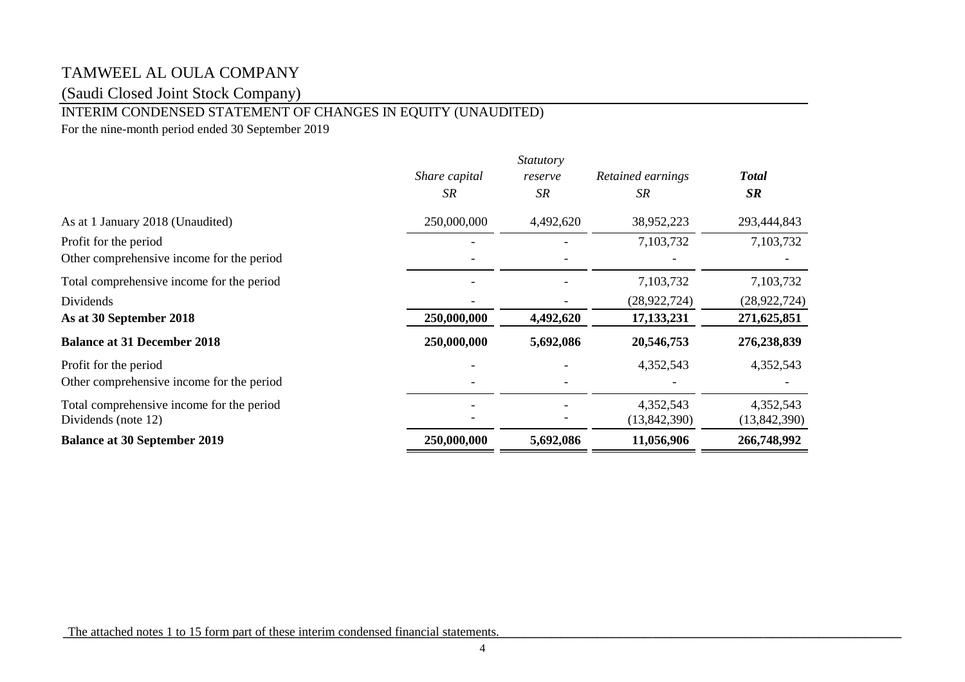(Saudi Closed Joint Stock Company)

### INTERIM CONDENSED STATEMENT OF CHANGES IN EQUITY (UNAUDITED)

For the nine-month period ended 30 September 2019

|                                           |               | <i>Statutory</i> |                   |                |
|-------------------------------------------|---------------|------------------|-------------------|----------------|
|                                           | Share capital | reserve          | Retained earnings | <b>Total</b>   |
|                                           | <b>SR</b>     | SR               | SR.               | SR             |
| As at 1 January 2018 (Unaudited)          | 250,000,000   | 4,492,620        | 38,952,223        | 293,444,843    |
| Profit for the period                     |               |                  | 7,103,732         | 7,103,732      |
| Other comprehensive income for the period |               |                  |                   |                |
| Total comprehensive income for the period |               |                  | 7,103,732         | 7,103,732      |
| Dividends                                 |               |                  | (28, 922, 724)    | (28, 922, 724) |
| As at 30 September 2018                   | 250,000,000   | 4,492,620        | 17, 133, 231      | 271,625,851    |
| <b>Balance at 31 December 2018</b>        | 250,000,000   | 5,692,086        | 20,546,753        | 276,238,839    |
| Profit for the period                     |               |                  | 4,352,543         | 4,352,543      |
| Other comprehensive income for the period |               |                  |                   |                |
| Total comprehensive income for the period |               |                  | 4,352,543         | 4,352,543      |
| Dividends (note 12)                       |               |                  | (13,842,390)      | (13,842,390)   |
| <b>Balance at 30 September 2019</b>       | 250,000,000   | 5,692,086        | 11,056,906        | 266,748,992    |

The attached notes 1 to 15 form part of these interim condensed financial statements.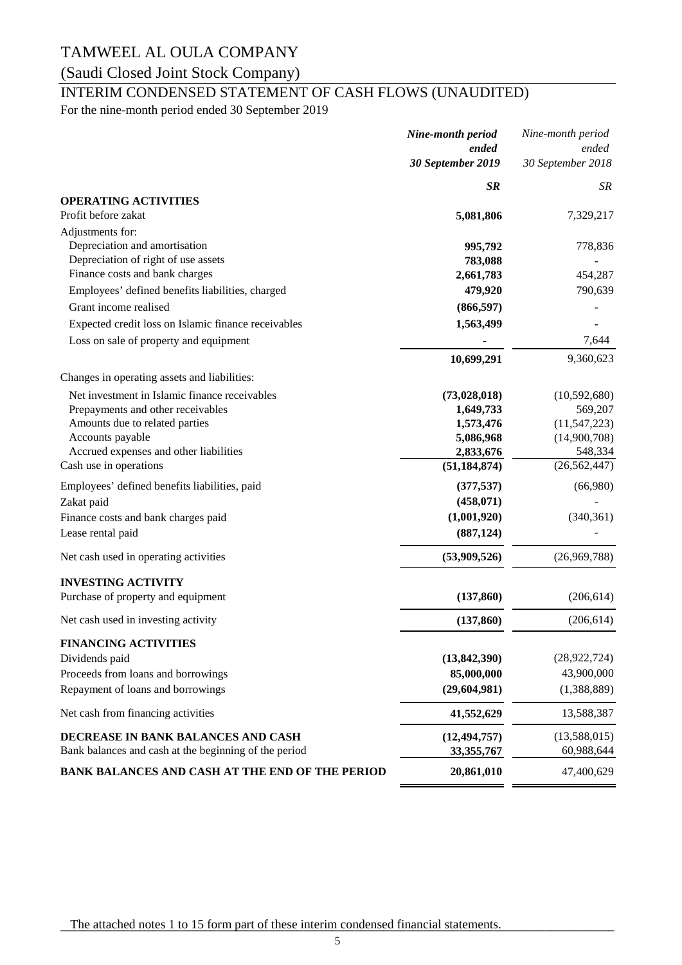# (Saudi Closed Joint Stock Company)

# INTERIM CONDENSED STATEMENT OF CASH FLOWS (UNAUDITED)

For the nine-month period ended 30 September 2019

|                                                        | Nine-month period | Nine-month period |
|--------------------------------------------------------|-------------------|-------------------|
|                                                        | ended             | ended             |
|                                                        | 30 September 2019 | 30 September 2018 |
|                                                        | <b>SR</b>         | SR                |
| <b>OPERATING ACTIVITIES</b>                            |                   |                   |
| Profit before zakat                                    | 5,081,806         | 7,329,217         |
| Adjustments for:                                       |                   |                   |
| Depreciation and amortisation                          | 995,792           | 778,836           |
| Depreciation of right of use assets                    | 783,088           |                   |
| Finance costs and bank charges                         | 2,661,783         | 454,287           |
| Employees' defined benefits liabilities, charged       | 479,920           | 790,639           |
| Grant income realised                                  | (866, 597)        |                   |
| Expected credit loss on Islamic finance receivables    | 1,563,499         |                   |
| Loss on sale of property and equipment                 |                   | 7,644             |
|                                                        | 10,699,291        | 9,360,623         |
| Changes in operating assets and liabilities:           |                   |                   |
| Net investment in Islamic finance receivables          | (73,028,018)      | (10, 592, 680)    |
| Prepayments and other receivables                      | 1,649,733         | 569,207           |
| Amounts due to related parties                         | 1,573,476         | (11, 547, 223)    |
| Accounts payable                                       | 5,086,968         | (14,900,708)      |
| Accrued expenses and other liabilities                 | 2,833,676         | 548,334           |
| Cash use in operations                                 | (51, 184, 874)    | (26, 562, 447)    |
| Employees' defined benefits liabilities, paid          | (377, 537)        | (66,980)          |
| Zakat paid                                             | (458, 071)        |                   |
| Finance costs and bank charges paid                    | (1,001,920)       | (340, 361)        |
| Lease rental paid                                      | (887, 124)        |                   |
| Net cash used in operating activities                  | (53,909,526)      | (26,969,788)      |
| <b>INVESTING ACTIVITY</b>                              |                   |                   |
| Purchase of property and equipment                     | (137, 860)        | (206, 614)        |
| Net cash used in investing activity                    | (137, 860)        | (206, 614)        |
| <b>FINANCING ACTIVITIES</b>                            |                   |                   |
| Dividends paid                                         | (13,842,390)      | (28, 922, 724)    |
| Proceeds from loans and borrowings                     | 85,000,000        | 43,900,000        |
| Repayment of loans and borrowings                      | (29, 604, 981)    | (1,388,889)       |
| Net cash from financing activities                     | 41,552,629        | 13,588,387        |
| DECREASE IN BANK BALANCES AND CASH                     | (12, 494, 757)    | (13,588,015)      |
| Bank balances and cash at the beginning of the period  | 33, 355, 767      | 60,988,644        |
| <b>BANK BALANCES AND CASH AT THE END OF THE PERIOD</b> | 20,861,010        | 47,400,629        |
|                                                        |                   |                   |

The attached notes 1 to 15 form part of these interim condensed financial statements.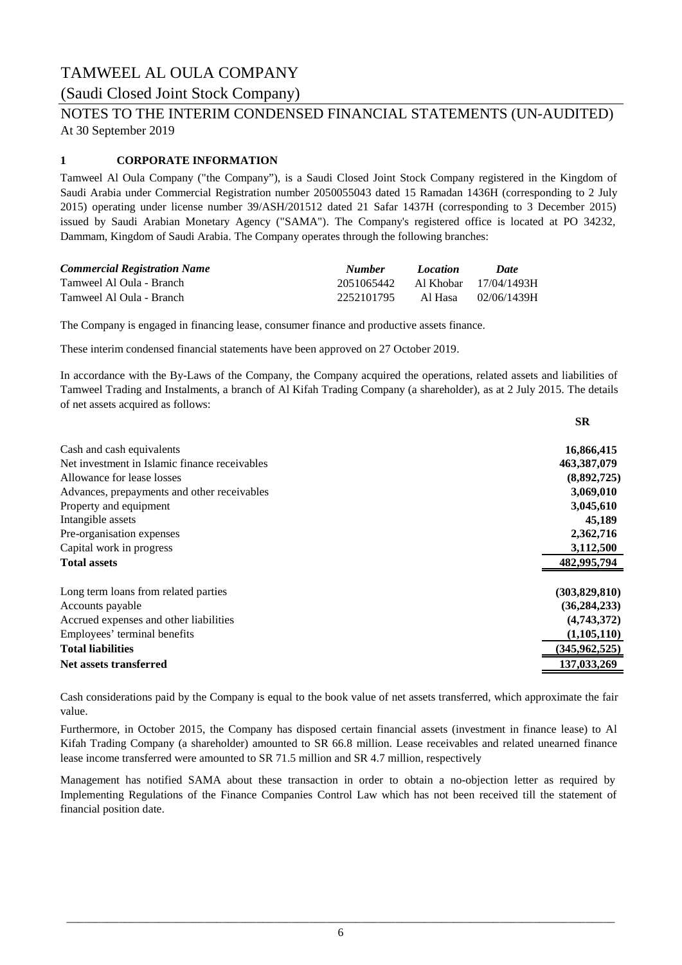### (Saudi Closed Joint Stock Company)

# At 30 September 2019 NOTES TO THE INTERIM CONDENSED FINANCIAL STATEMENTS (UN-AUDITED)

### **1 CORPORATE INFORMATION**

Tamweel Al Oula Company ("the Company"), is a Saudi Closed Joint Stock Company registered in the Kingdom of Saudi Arabia under Commercial Registration number 2050055043 dated 15 Ramadan 1436H (corresponding to 2 July 2015) operating under license number 39/ASH/201512 dated 21 Safar 1437H (corresponding to 3 December 2015) issued by Saudi Arabian Monetary Agency ("SAMA"). The Company's registered office is located at PO 34232, Dammam, Kingdom of Saudi Arabia. The Company operates through the following branches:

| <b>Commercial Registration Name</b> | <b>Number</b>                    | Location  | Date        |
|-------------------------------------|----------------------------------|-----------|-------------|
| Tamweel Al Oula - Branch            | 2051065442 Al Khobar 17/04/1493H |           |             |
| Tamweel Al Oula - Branch            | 2252101795                       | – Al Hasa | 02/06/1439H |

The Company is engaged in financing lease, consumer finance and productive assets finance.

These interim condensed financial statements have been approved on 27 October 2019.

In accordance with the By-Laws of the Company, the Company acquired the operations, related assets and liabilities of Tamweel Trading and Instalments, a branch of Al Kifah Trading Company (a shareholder), as at 2 July 2015. The details of net assets acquired as follows:

| Cash and cash equivalents<br>Net investment in Islamic finance receivables<br>Allowance for lease losses<br>Advances, prepayments and other receivables<br>Property and equipment<br>Intangible assets<br>Pre-organisation expenses<br>Capital work in progress<br><b>Total assets</b><br>Long term loans from related parties<br>Accounts payable<br>Accrued expenses and other liabilities<br>Employees' terminal benefits<br><b>Total liabilities</b> |                               | <b>SR</b>       |
|----------------------------------------------------------------------------------------------------------------------------------------------------------------------------------------------------------------------------------------------------------------------------------------------------------------------------------------------------------------------------------------------------------------------------------------------------------|-------------------------------|-----------------|
|                                                                                                                                                                                                                                                                                                                                                                                                                                                          |                               | 16,866,415      |
|                                                                                                                                                                                                                                                                                                                                                                                                                                                          |                               | 463,387,079     |
|                                                                                                                                                                                                                                                                                                                                                                                                                                                          |                               | (8,892,725)     |
|                                                                                                                                                                                                                                                                                                                                                                                                                                                          |                               | 3,069,010       |
|                                                                                                                                                                                                                                                                                                                                                                                                                                                          |                               | 3,045,610       |
|                                                                                                                                                                                                                                                                                                                                                                                                                                                          |                               | 45,189          |
|                                                                                                                                                                                                                                                                                                                                                                                                                                                          |                               | 2,362,716       |
|                                                                                                                                                                                                                                                                                                                                                                                                                                                          |                               | 3,112,500       |
|                                                                                                                                                                                                                                                                                                                                                                                                                                                          |                               | 482,995,794     |
|                                                                                                                                                                                                                                                                                                                                                                                                                                                          |                               | (303,829,810)   |
|                                                                                                                                                                                                                                                                                                                                                                                                                                                          |                               | (36, 284, 233)  |
|                                                                                                                                                                                                                                                                                                                                                                                                                                                          |                               | (4,743,372)     |
|                                                                                                                                                                                                                                                                                                                                                                                                                                                          |                               | (1,105,110)     |
|                                                                                                                                                                                                                                                                                                                                                                                                                                                          |                               | (345, 962, 525) |
|                                                                                                                                                                                                                                                                                                                                                                                                                                                          | <b>Net assets transferred</b> | 137,033,269     |

Cash considerations paid by the Company is equal to the book value of net assets transferred, which approximate the fair value.

Furthermore, in October 2015, the Company has disposed certain financial assets (investment in finance lease) to Al Kifah Trading Company (a shareholder) amounted to SR 66.8 million. Lease receivables and related unearned finance lease income transferred were amounted to SR 71.5 million and SR 4.7 million, respectively

Management has notified SAMA about these transaction in order to obtain a no-objection letter as required by Implementing Regulations of the Finance Companies Control Law which has not been received till the statement of financial position date.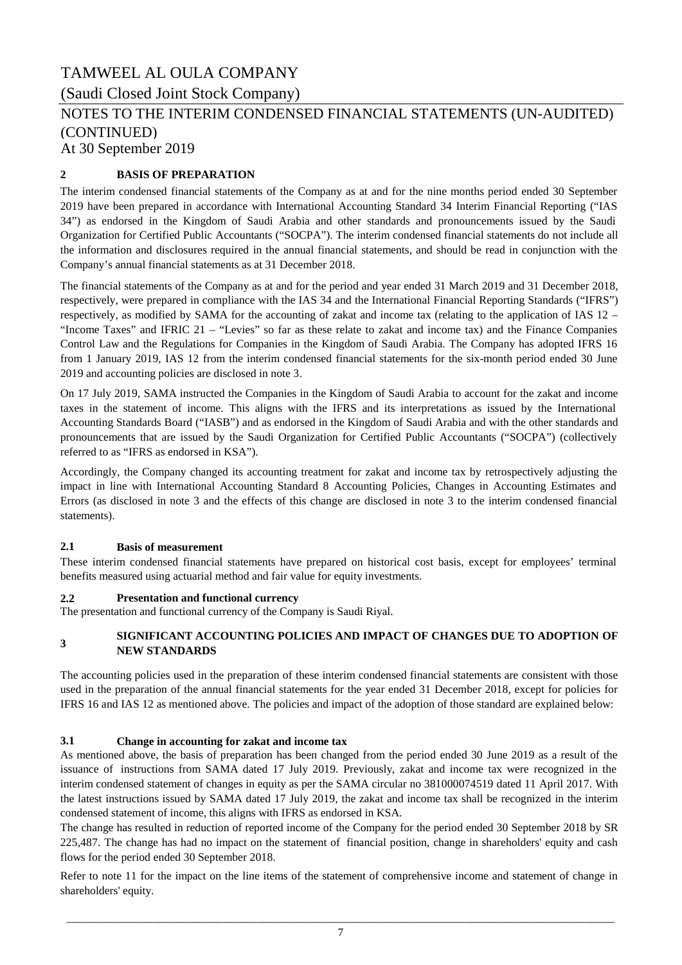(Saudi Closed Joint Stock Company)

# NOTES TO THE INTERIM CONDENSED FINANCIAL STATEMENTS (UN-AUDITED) (CONTINUED)

At 30 September 2019

### **2 BASIS OF PREPARATION**

The interim condensed financial statements of the Company as at and for the nine months period ended 30 September 2019 have been prepared in accordance with International Accounting Standard 34 Interim Financial Reporting ("IAS 34") as endorsed in the Kingdom of Saudi Arabia and other standards and pronouncements issued by the Saudi Organization for Certified Public Accountants ("SOCPA"). The interim condensed financial statements do not include all the information and disclosures required in the annual financial statements, and should be read in conjunction with the Company's annual financial statements as at 31 December 2018.

The financial statements of the Company as at and for the period and year ended 31 March 2019 and 31 December 2018, respectively, were prepared in compliance with the IAS 34 and the International Financial Reporting Standards ("IFRS") respectively, as modified by SAMA for the accounting of zakat and income tax (relating to the application of IAS 12 – "Income Taxes" and IFRIC 21 – "Levies" so far as these relate to zakat and income tax) and the Finance Companies Control Law and the Regulations for Companies in the Kingdom of Saudi Arabia. The Company has adopted IFRS 16 from 1 January 2019, IAS 12 from the interim condensed financial statements for the six-month period ended 30 June 2019 and accounting policies are disclosed in note 3.

On 17 July 2019, SAMA instructed the Companies in the Kingdom of Saudi Arabia to account for the zakat and income taxes in the statement of income. This aligns with the IFRS and its interpretations as issued by the International Accounting Standards Board ("IASB") and as endorsed in the Kingdom of Saudi Arabia and with the other standards and pronouncements that are issued by the Saudi Organization for Certified Public Accountants ("SOCPA") (collectively referred to as "IFRS as endorsed in KSA").

Accordingly, the Company changed its accounting treatment for zakat and income tax by retrospectively adjusting the impact in line with International Accounting Standard 8 Accounting Policies, Changes in Accounting Estimates and Errors (as disclosed in note 3 and the effects of this change are disclosed in note 3 to the interim condensed financial statements).

### **2.1 Basis of measurement**

These interim condensed financial statements have prepared on historical cost basis, except for employees' terminal benefits measured using actuarial method and fair value for equity investments.

### **2.2 Presentation and functional currency**

The presentation and functional currency of the Company is Saudi Riyal.

#### **3 SIGNIFICANT ACCOUNTING POLICIES AND IMPACT OF CHANGES DUE TO ADOPTION OF NEW STANDARDS**

The accounting policies used in the preparation of these interim condensed financial statements are consistent with those used in the preparation of the annual financial statements for the year ended 31 December 2018, except for policies for IFRS 16 and IAS 12 as mentioned above. The policies and impact of the adoption of those standard are explained below:

### **3.1 Change in accounting for zakat and income tax**

As mentioned above, the basis of preparation has been changed from the period ended 30 June 2019 as a result of the issuance of instructions from SAMA dated 17 July 2019. Previously, zakat and income tax were recognized in the interim condensed statement of changes in equity as per the SAMA circular no 381000074519 dated 11 April 2017. With the latest instructions issued by SAMA dated 17 July 2019, the zakat and income tax shall be recognized in the interim condensed statement of income, this aligns with IFRS as endorsed in KSA.

The change has resulted in reduction of reported income of the Company for the period ended 30 September 2018 by SR 225,487. The change has had no impact on the statement of financial position, change in shareholders' equity and cash flows for the period ended 30 September 2018.

Refer to note 11 for the impact on the line items of the statement of comprehensive income and statement of change in shareholders' equity.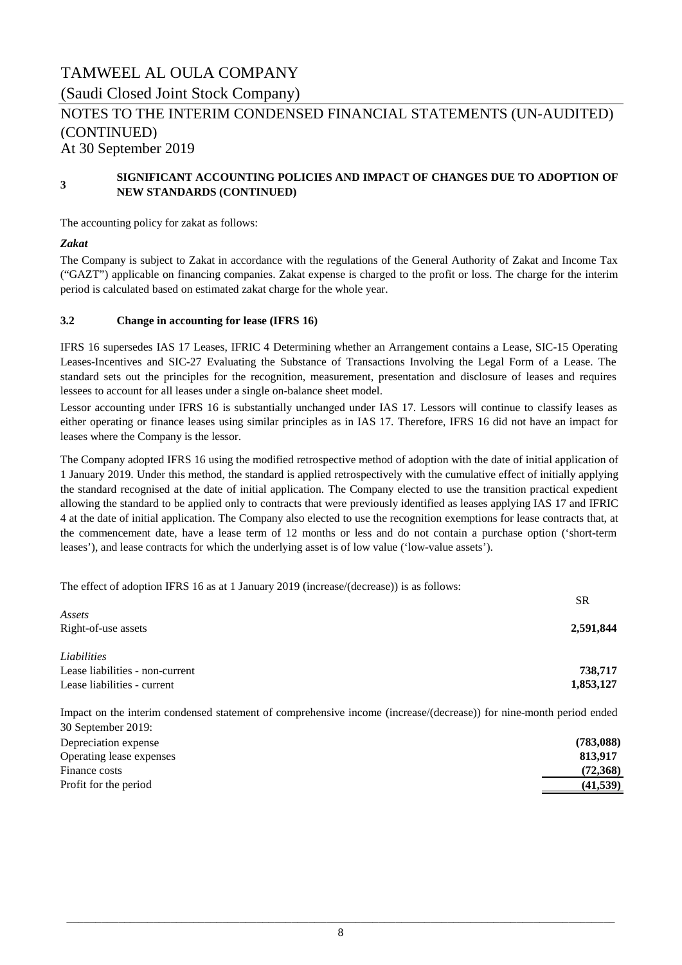# TAMWEEL AL OULA COMPANY (Saudi Closed Joint Stock Company) At 30 September 2019 NOTES TO THE INTERIM CONDENSED FINANCIAL STATEMENTS (UN-AUDITED) (CONTINUED)

#### **3 SIGNIFICANT ACCOUNTING POLICIES AND IMPACT OF CHANGES DUE TO ADOPTION OF NEW STANDARDS (CONTINUED)**

The accounting policy for zakat as follows:

#### *Zakat*

The Company is subject to Zakat in accordance with the regulations of the General Authority of Zakat and Income Tax ("GAZT") applicable on financing companies. Zakat expense is charged to the profit or loss. The charge for the interim period is calculated based on estimated zakat charge for the whole year.

### **3.2 Change in accounting for lease (IFRS 16)**

IFRS 16 supersedes IAS 17 Leases, IFRIC 4 Determining whether an Arrangement contains a Lease, SIC-15 Operating Leases-Incentives and SIC-27 Evaluating the Substance of Transactions Involving the Legal Form of a Lease. The standard sets out the principles for the recognition, measurement, presentation and disclosure of leases and requires lessees to account for all leases under a single on-balance sheet model.

Lessor accounting under IFRS 16 is substantially unchanged under IAS 17. Lessors will continue to classify leases as either operating or finance leases using similar principles as in IAS 17. Therefore, IFRS 16 did not have an impact for leases where the Company is the lessor.

The Company adopted IFRS 16 using the modified retrospective method of adoption with the date of initial application of 1 January 2019. Under this method, the standard is applied retrospectively with the cumulative effect of initially applying the standard recognised at the date of initial application. The Company elected to use the transition practical expedient allowing the standard to be applied only to contracts that were previously identified as leases applying IAS 17 and IFRIC 4 at the date of initial application. The Company also elected to use the recognition exemptions for lease contracts that, at the commencement date, have a lease term of 12 months or less and do not contain a purchase option ('short-term leases'), and lease contracts for which the underlying asset is of low value ('low-value assets').

The effect of adoption IFRS 16 as at 1 January 2019 (increase/(decrease)) is as follows:

| <b>SR</b> |
|-----------|
|           |
| 2,591,844 |
|           |
| 738,717   |
| 1,853,127 |
|           |

Depreciation expense **(783,088)** Impact on the interim condensed statement of comprehensive income (increase/(decrease)) for nine-month period ended 30 September 2019:

| Operating lease expenses | 813.917   |
|--------------------------|-----------|
| Finance costs            | (72,368)  |
| Profit for the period    | (41, 539) |
|                          |           |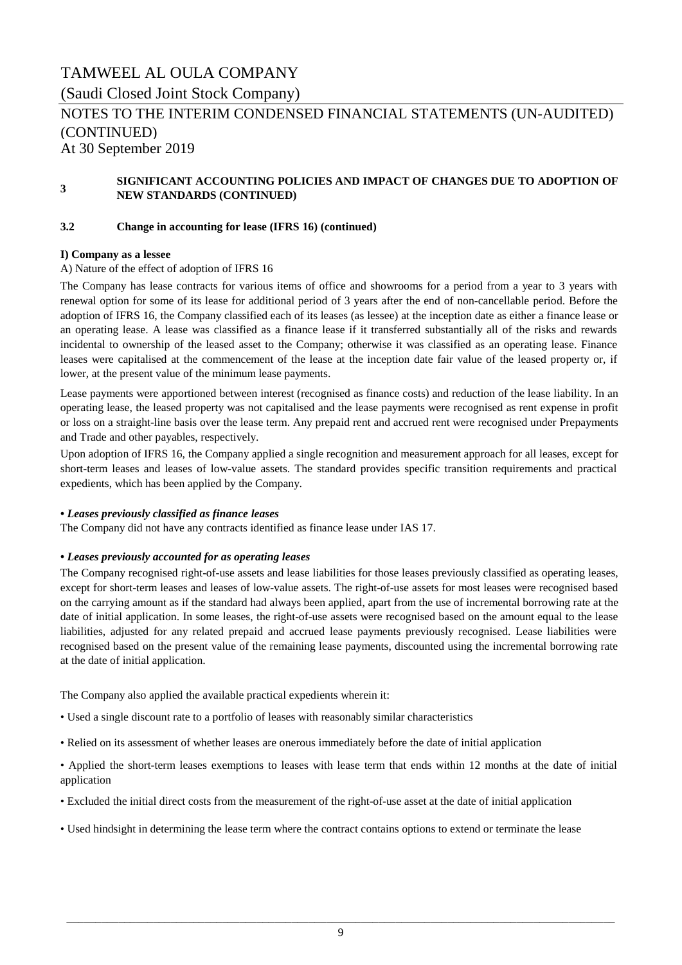(Saudi Closed Joint Stock Company)

### At 30 September 2019 NOTES TO THE INTERIM CONDENSED FINANCIAL STATEMENTS (UN-AUDITED) (CONTINUED)

#### **3 SIGNIFICANT ACCOUNTING POLICIES AND IMPACT OF CHANGES DUE TO ADOPTION OF NEW STANDARDS (CONTINUED)**

### **3.2 Change in accounting for lease (IFRS 16) (continued)**

### **I) Company as a lessee**

### A) Nature of the effect of adoption of IFRS 16

The Company has lease contracts for various items of office and showrooms for a period from a year to 3 years with renewal option for some of its lease for additional period of 3 years after the end of non-cancellable period. Before the adoption of IFRS 16, the Company classified each of its leases (as lessee) at the inception date as either a finance lease or an operating lease. A lease was classified as a finance lease if it transferred substantially all of the risks and rewards incidental to ownership of the leased asset to the Company; otherwise it was classified as an operating lease. Finance leases were capitalised at the commencement of the lease at the inception date fair value of the leased property or, if lower, at the present value of the minimum lease payments.

Lease payments were apportioned between interest (recognised as finance costs) and reduction of the lease liability. In an operating lease, the leased property was not capitalised and the lease payments were recognised as rent expense in profit or loss on a straight-line basis over the lease term. Any prepaid rent and accrued rent were recognised under Prepayments and Trade and other payables, respectively.

Upon adoption of IFRS 16, the Company applied a single recognition and measurement approach for all leases, except for short-term leases and leases of low-value assets. The standard provides specific transition requirements and practical expedients, which has been applied by the Company.

### *• Leases previously classified as finance leases*

The Company did not have any contracts identified as finance lease under IAS 17.

### *• Leases previously accounted for as operating leases*

The Company recognised right-of-use assets and lease liabilities for those leases previously classified as operating leases, except for short-term leases and leases of low-value assets. The right-of-use assets for most leases were recognised based on the carrying amount as if the standard had always been applied, apart from the use of incremental borrowing rate at the date of initial application. In some leases, the right-of-use assets were recognised based on the amount equal to the lease liabilities, adjusted for any related prepaid and accrued lease payments previously recognised. Lease liabilities were recognised based on the present value of the remaining lease payments, discounted using the incremental borrowing rate at the date of initial application.

The Company also applied the available practical expedients wherein it:

- Used a single discount rate to a portfolio of leases with reasonably similar characteristics
- Relied on its assessment of whether leases are onerous immediately before the date of initial application
- Applied the short-term leases exemptions to leases with lease term that ends within 12 months at the date of initial application
- Excluded the initial direct costs from the measurement of the right-of-use asset at the date of initial application
- Used hindsight in determining the lease term where the contract contains options to extend or terminate the lease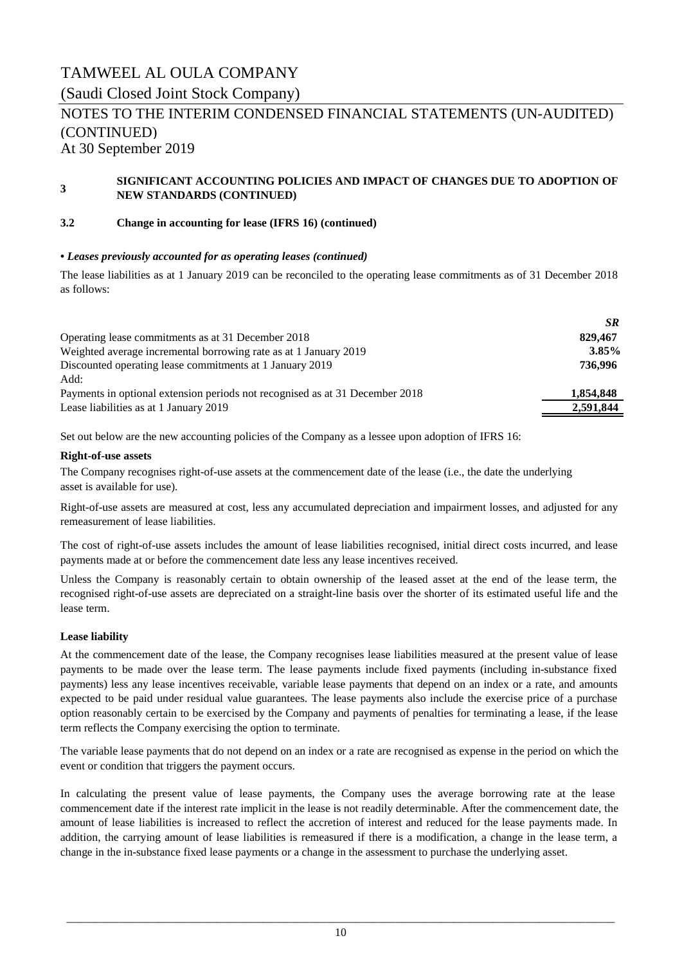(Saudi Closed Joint Stock Company)

# NOTES TO THE INTERIM CONDENSED FINANCIAL STATEMENTS (UN-AUDITED) (CONTINUED)

At 30 September 2019

#### **3 SIGNIFICANT ACCOUNTING POLICIES AND IMPACT OF CHANGES DUE TO ADOPTION OF NEW STANDARDS (CONTINUED)**

### **3.2 Change in accounting for lease (IFRS 16) (continued)**

### *• Leases previously accounted for as operating leases (continued)*

The lease liabilities as at 1 January 2019 can be reconciled to the operating lease commitments as of 31 December 2018 as follows:

|                                                                              | <b>SR</b> |
|------------------------------------------------------------------------------|-----------|
| Operating lease commitments as at 31 December 2018                           | 829,467   |
| Weighted average incremental borrowing rate as at 1 January 2019             | $3.85\%$  |
| Discounted operating lease commitments at 1 January 2019                     | 736.996   |
| Add:                                                                         |           |
| Payments in optional extension periods not recognised as at 31 December 2018 | 1,854,848 |
| Lease liabilities as at 1 January 2019                                       | 2,591,844 |
|                                                                              |           |

Set out below are the new accounting policies of the Company as a lessee upon adoption of IFRS 16:

#### **Right-of-use assets**

The Company recognises right-of-use assets at the commencement date of the lease (i.e., the date the underlying asset is available for use).

Right-of-use assets are measured at cost, less any accumulated depreciation and impairment losses, and adjusted for any remeasurement of lease liabilities.

The cost of right-of-use assets includes the amount of lease liabilities recognised, initial direct costs incurred, and lease payments made at or before the commencement date less any lease incentives received.

Unless the Company is reasonably certain to obtain ownership of the leased asset at the end of the lease term, the recognised right-of-use assets are depreciated on a straight-line basis over the shorter of its estimated useful life and the lease term.

### **Lease liability**

At the commencement date of the lease, the Company recognises lease liabilities measured at the present value of lease payments to be made over the lease term. The lease payments include fixed payments (including in-substance fixed payments) less any lease incentives receivable, variable lease payments that depend on an index or a rate, and amounts expected to be paid under residual value guarantees. The lease payments also include the exercise price of a purchase option reasonably certain to be exercised by the Company and payments of penalties for terminating a lease, if the lease term reflects the Company exercising the option to terminate.

The variable lease payments that do not depend on an index or a rate are recognised as expense in the period on which the event or condition that triggers the payment occurs.

In calculating the present value of lease payments, the Company uses the average borrowing rate at the lease commencement date if the interest rate implicit in the lease is not readily determinable. After the commencement date, the amount of lease liabilities is increased to reflect the accretion of interest and reduced for the lease payments made. In addition, the carrying amount of lease liabilities is remeasured if there is a modification, a change in the lease term, a change in the in-substance fixed lease payments or a change in the assessment to purchase the underlying asset.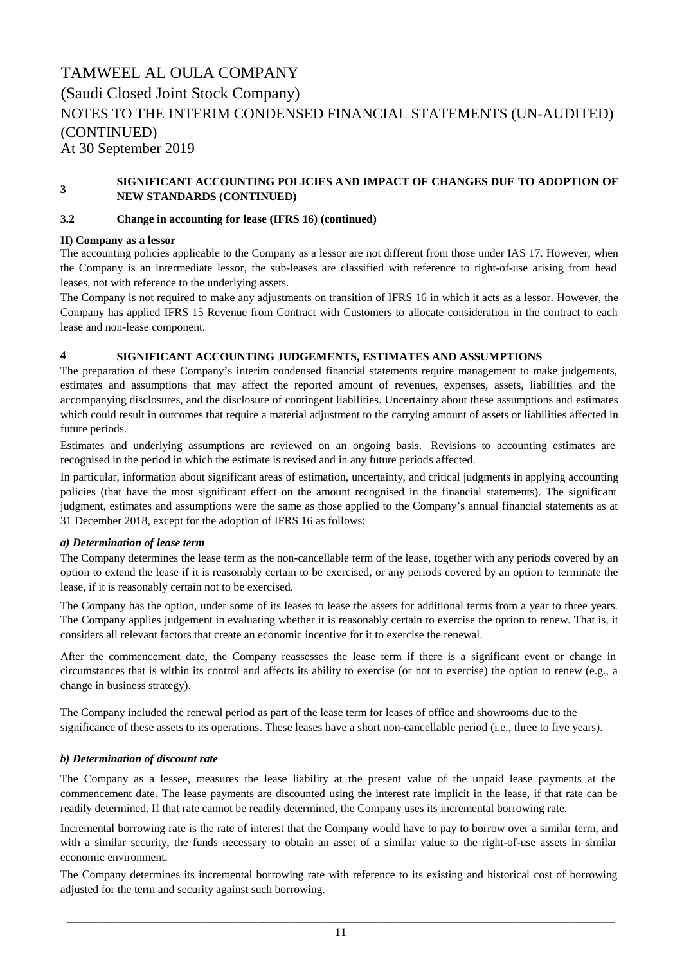(Saudi Closed Joint Stock Company)

# NOTES TO THE INTERIM CONDENSED FINANCIAL STATEMENTS (UN-AUDITED) (CONTINUED)

At 30 September 2019

#### **3 SIGNIFICANT ACCOUNTING POLICIES AND IMPACT OF CHANGES DUE TO ADOPTION OF NEW STANDARDS (CONTINUED)**

#### **3.2 Change in accounting for lease (IFRS 16) (continued)**

#### **II) Company as a lessor**

The accounting policies applicable to the Company as a lessor are not different from those under IAS 17. However, when the Company is an intermediate lessor, the sub-leases are classified with reference to right-of-use arising from head leases, not with reference to the underlying assets.

The Company is not required to make any adjustments on transition of IFRS 16 in which it acts as a lessor. However, the Company has applied IFRS 15 Revenue from Contract with Customers to allocate consideration in the contract to each lease and non-lease component.

### **4 SIGNIFICANT ACCOUNTING JUDGEMENTS, ESTIMATES AND ASSUMPTIONS**

The preparation of these Company's interim condensed financial statements require management to make judgements, estimates and assumptions that may affect the reported amount of revenues, expenses, assets, liabilities and the accompanying disclosures, and the disclosure of contingent liabilities. Uncertainty about these assumptions and estimates which could result in outcomes that require a material adjustment to the carrying amount of assets or liabilities affected in future periods.

Estimates and underlying assumptions are reviewed on an ongoing basis. Revisions to accounting estimates are recognised in the period in which the estimate is revised and in any future periods affected.

In particular, information about significant areas of estimation, uncertainty, and critical judgments in applying accounting policies (that have the most significant effect on the amount recognised in the financial statements). The significant judgment, estimates and assumptions were the same as those applied to the Company's annual financial statements as at 31 December 2018, except for the adoption of IFRS 16 as follows:

#### *a) Determination of lease term*

The Company determines the lease term as the non-cancellable term of the lease, together with any periods covered by an option to extend the lease if it is reasonably certain to be exercised, or any periods covered by an option to terminate the lease, if it is reasonably certain not to be exercised.

The Company has the option, under some of its leases to lease the assets for additional terms from a year to three years. The Company applies judgement in evaluating whether it is reasonably certain to exercise the option to renew. That is, it considers all relevant factors that create an economic incentive for it to exercise the renewal.

After the commencement date, the Company reassesses the lease term if there is a significant event or change in circumstances that is within its control and affects its ability to exercise (or not to exercise) the option to renew (e.g., a change in business strategy).

The Company included the renewal period as part of the lease term for leases of office and showrooms due to the significance of these assets to its operations. These leases have a short non-cancellable period (i.e., three to five years).

### *b) Determination of discount rate*

The Company as a lessee, measures the lease liability at the present value of the unpaid lease payments at the commencement date. The lease payments are discounted using the interest rate implicit in the lease, if that rate can be readily determined. If that rate cannot be readily determined, the Company uses its incremental borrowing rate.

Incremental borrowing rate is the rate of interest that the Company would have to pay to borrow over a similar term, and with a similar security, the funds necessary to obtain an asset of a similar value to the right-of-use assets in similar economic environment.

The Company determines its incremental borrowing rate with reference to its existing and historical cost of borrowing adjusted for the term and security against such borrowing.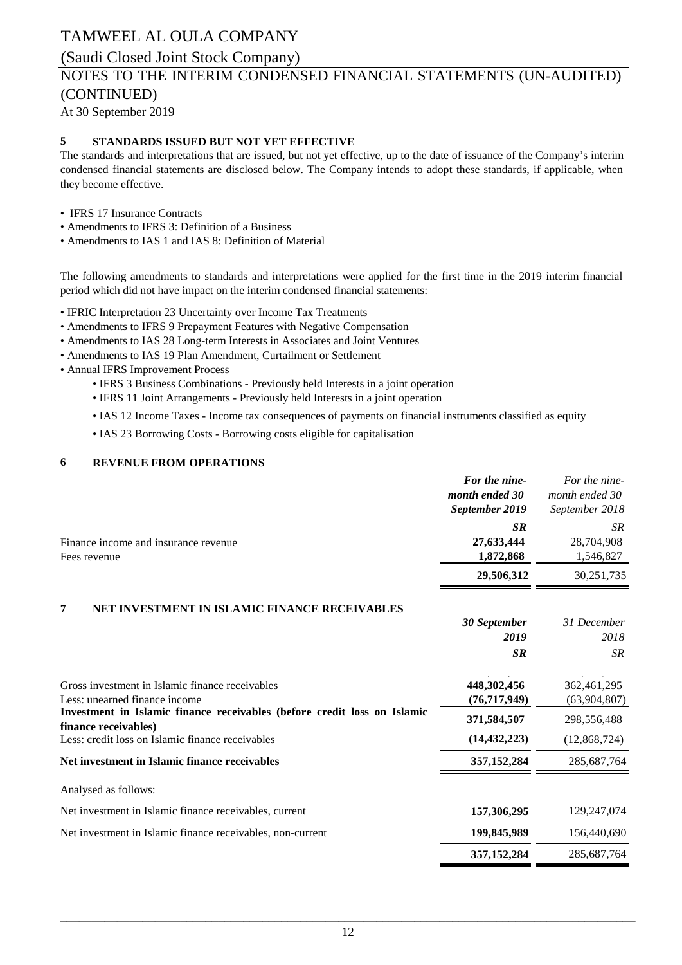# (Saudi Closed Joint Stock Company)

# NOTES TO THE INTERIM CONDENSED FINANCIAL STATEMENTS (UN-AUDITED) (CONTINUED)

At 30 September 2019

### **5 STANDARDS ISSUED BUT NOT YET EFFECTIVE**

The standards and interpretations that are issued, but not yet effective, up to the date of issuance of the Company's interim condensed financial statements are disclosed below. The Company intends to adopt these standards, if applicable, when they become effective.

- IFRS 17 Insurance Contracts
- Amendments to IFRS 3: Definition of a Business
- Amendments to IAS 1 and IAS 8: Definition of Material

The following amendments to standards and interpretations were applied for the first time in the 2019 interim financial period which did not have impact on the interim condensed financial statements:

- IFRIC Interpretation 23 Uncertainty over Income Tax Treatments
- Amendments to IFRS 9 Prepayment Features with Negative Compensation
- Amendments to IAS 28 Long-term Interests in Associates and Joint Ventures
- Amendments to IAS 19 Plan Amendment, Curtailment or Settlement
- Annual IFRS Improvement Process
	- IFRS 3 Business Combinations Previously held Interests in a joint operation
	- IFRS 11 Joint Arrangements Previously held Interests in a joint operation
	- IAS 12 Income Taxes Income tax consequences of payments on financial instruments classified as equity
	- IAS 23 Borrowing Costs Borrowing costs eligible for capitalisation

### **6 REVENUE FROM OPERATIONS**

|                                                                                                  | For the nine-<br>month ended 30<br>September 2019 | For the nine-<br>month ended 30<br>September 2018 |
|--------------------------------------------------------------------------------------------------|---------------------------------------------------|---------------------------------------------------|
| Finance income and insurance revenue<br>Fees revenue                                             | <b>SR</b><br>27,633,444<br>1,872,868              | SR.<br>28,704,908<br>1,546,827                    |
|                                                                                                  | 29,506,312                                        | 30,251,735                                        |
| 7<br>NET INVESTMENT IN ISLAMIC FINANCE RECEIVABLES                                               |                                                   |                                                   |
|                                                                                                  | 30 September<br>2019                              | 31 December<br>2018                               |
|                                                                                                  | <b>SR</b>                                         | <b>SR</b>                                         |
| Gross investment in Islamic finance receivables<br>Less: unearned finance income                 | 448,302,456<br>(76, 717, 949)                     | 362,461,295<br>(63,904,807)                       |
| Investment in Islamic finance receivables (before credit loss on Islamic<br>finance receivables) | 371,584,507                                       | 298,556,488                                       |
| Less: credit loss on Islamic finance receivables                                                 | (14, 432, 223)                                    | (12,868,724)                                      |
| Net investment in Islamic finance receivables                                                    | 357, 152, 284                                     | 285,687,764                                       |
| Analysed as follows:                                                                             |                                                   |                                                   |
| Net investment in Islamic finance receivables, current                                           | 157,306,295                                       | 129,247,074                                       |
| Net investment in Islamic finance receivables, non-current                                       | 199,845,989                                       | 156,440,690                                       |
|                                                                                                  | 357, 152, 284                                     | 285,687,764                                       |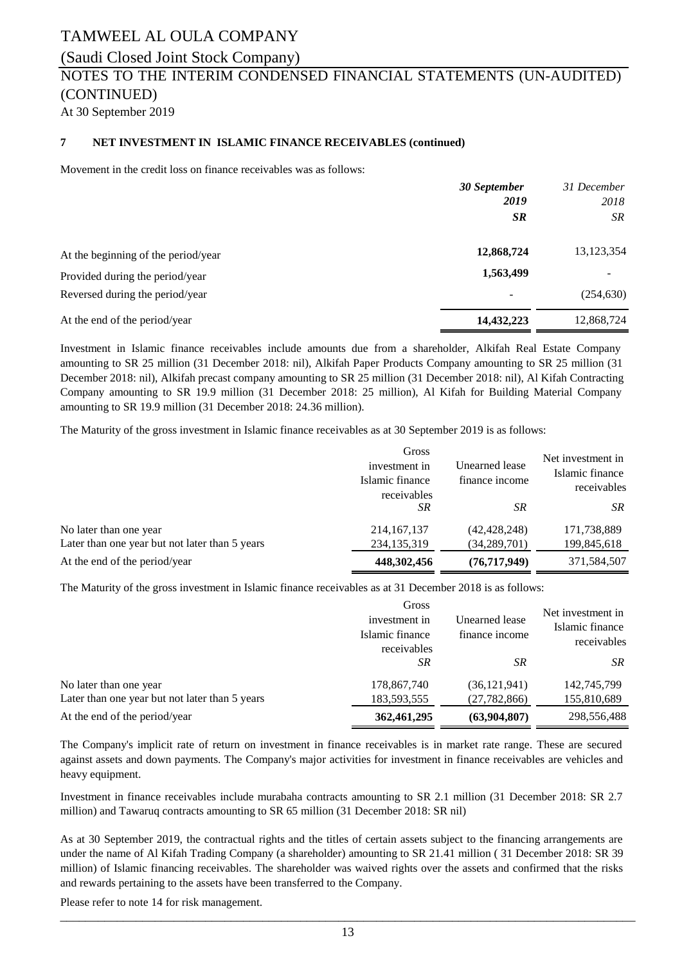### (Saudi Closed Joint Stock Company)

### NOTES TO THE INTERIM CONDENSED FINANCIAL STATEMENTS (UN-AUDITED) (CONTINUED)

At 30 September 2019

#### **7 NET INVESTMENT IN ISLAMIC FINANCE RECEIVABLES (continued)**

Movement in the credit loss on finance receivables was as follows:

|                                     | 30 September             | 31 December |
|-------------------------------------|--------------------------|-------------|
|                                     | 2019                     | 2018        |
|                                     | <b>SR</b>                | SR.         |
| At the beginning of the period/year | 12,868,724               | 13,123,354  |
| Provided during the period/year     | 1,563,499                |             |
| Reversed during the period/year     | $\overline{\phantom{a}}$ | (254, 630)  |
| At the end of the period/year       | 14,432,223               | 12,868,724  |

Investment in Islamic finance receivables include amounts due from a shareholder, Alkifah Real Estate Company amounting to SR 25 million (31 December 2018: nil), Alkifah Paper Products Company amounting to SR 25 million (31 December 2018: nil), Alkifah precast company amounting to SR 25 million (31 December 2018: nil), Al Kifah Contracting Company amounting to SR 19.9 million (31 December 2018: 25 million), Al Kifah for Building Material Company amounting to SR 19.9 million (31 December 2018: 24.36 million).

The Maturity of the gross investment in Islamic finance receivables as at 30 September 2019 is as follows:

|                                                | Gross<br>investment in<br>Islamic finance<br>receivables | Unearned lease<br>finance income | Net investment in<br>Islamic finance<br>receivables |  |
|------------------------------------------------|----------------------------------------------------------|----------------------------------|-----------------------------------------------------|--|
|                                                | SR                                                       | <b>SR</b>                        | SR.                                                 |  |
| No later than one year                         | 214, 167, 137                                            | (42, 428, 248)                   | 171,738,889                                         |  |
| Later than one year but not later than 5 years | 234, 135, 319                                            | (34, 289, 701)                   | 199,845,618                                         |  |
| At the end of the period/year                  | 448,302,456                                              | (76, 717, 949)                   | 371,584,507                                         |  |

The Maturity of the gross investment in Islamic finance receivables as at 31 December 2018 is as follows:

|                                                | Gross<br>investment in<br>Islamic finance<br>receivables | Unearned lease<br>finance income | Net investment in<br>Islamic finance<br>receivables |
|------------------------------------------------|----------------------------------------------------------|----------------------------------|-----------------------------------------------------|
| No later than one year                         | SR                                                       | <b>SR</b>                        | SR                                                  |
|                                                | 178,867,740                                              | (36, 121, 941)                   | 142,745,799                                         |
| Later than one year but not later than 5 years | 183,593,555                                              | (27, 782, 866)                   | 155,810,689                                         |
| At the end of the period/year                  | 362,461,295                                              | (63,904,807)                     | 298,556,488                                         |

The Company's implicit rate of return on investment in finance receivables is in market rate range. These are secured against assets and down payments. The Company's major activities for investment in finance receivables are vehicles and heavy equipment.

Investment in finance receivables include murabaha contracts amounting to SR 2.1 million (31 December 2018: SR 2.7 million) and Tawaruq contracts amounting to SR 65 million (31 December 2018: SR nil)

As at 30 September 2019, the contractual rights and the titles of certain assets subject to the financing arrangements are under the name of Al Kifah Trading Company (a shareholder) amounting to SR 21.41 million ( 31 December 2018: SR 39 million) of Islamic financing receivables. The shareholder was waived rights over the assets and confirmed that the risks and rewards pertaining to the assets have been transferred to the Company.

Please refer to note 14 for risk management.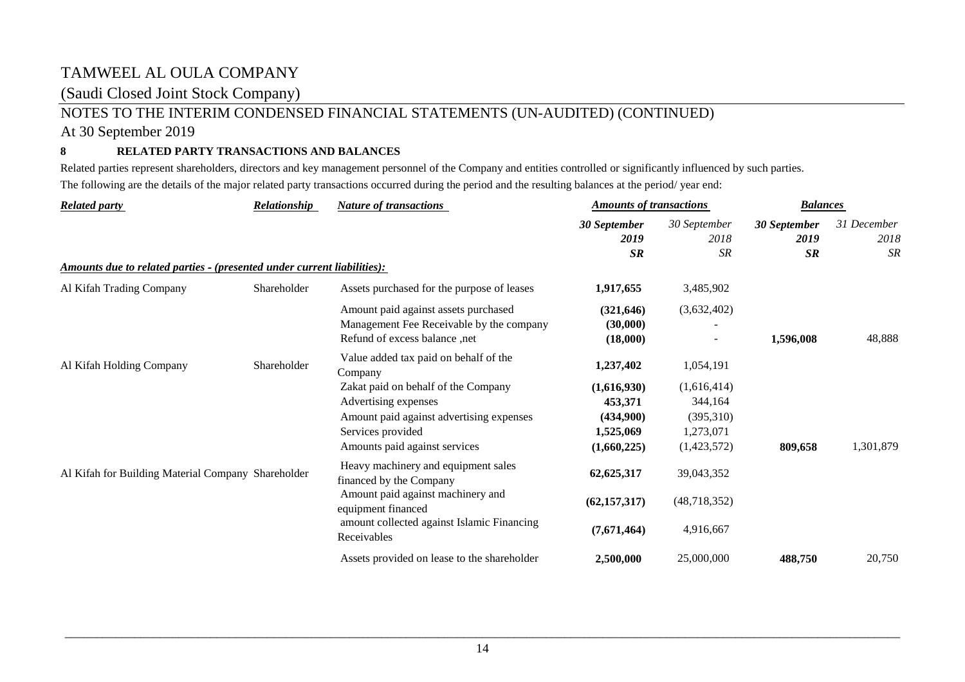### (Saudi Closed Joint Stock Company)

## NOTES TO THE INTERIM CONDENSED FINANCIAL STATEMENTS (UN-AUDITED) (CONTINUED)

### At 30 September 2019

### **8 RELATED PARTY TRANSACTIONS AND BALANCES**

Related parties represent shareholders, directors and key management personnel of the Company and entities controlled or significantly influenced by such parties. The following are the details of the major related party transactions occurred during the period and the resulting balances at the period/ year end:

| <b>Related party</b>                                                    | <b>Relationship</b> | <b>Nature of transactions</b>                                                                                     | <b>Amounts of transactions</b>     |                      | <b>Balances</b>      |                     |  |
|-------------------------------------------------------------------------|---------------------|-------------------------------------------------------------------------------------------------------------------|------------------------------------|----------------------|----------------------|---------------------|--|
|                                                                         |                     |                                                                                                                   | 30 September<br>2019               | 30 September<br>2018 | 30 September<br>2019 | 31 December<br>2018 |  |
| Amounts due to related parties - (presented under current liabilities): |                     |                                                                                                                   | SR                                 | <b>SR</b>            | SR                   | <b>SR</b>           |  |
| Al Kifah Trading Company                                                | Shareholder         | Assets purchased for the purpose of leases                                                                        | 1,917,655                          | 3,485,902            |                      |                     |  |
|                                                                         |                     | Amount paid against assets purchased<br>Management Fee Receivable by the company<br>Refund of excess balance, net | (321, 646)<br>(30,000)<br>(18,000) | (3,632,402)          | 1,596,008            | 48,888              |  |
| Al Kifah Holding Company                                                | Shareholder         | Value added tax paid on behalf of the<br>Company                                                                  | 1,237,402                          | 1,054,191            |                      |                     |  |
|                                                                         |                     | Zakat paid on behalf of the Company                                                                               | (1,616,930)                        | (1,616,414)          |                      |                     |  |
|                                                                         |                     | Advertising expenses                                                                                              | 453,371                            | 344,164              |                      |                     |  |
|                                                                         |                     | Amount paid against advertising expenses                                                                          | (434,900)                          | (395,310)            |                      |                     |  |
|                                                                         |                     | Services provided                                                                                                 | 1,525,069                          | 1,273,071            |                      |                     |  |
|                                                                         |                     | Amounts paid against services                                                                                     | (1,660,225)                        | (1,423,572)          | 809,658              | 1,301,879           |  |
| Al Kifah for Building Material Company Shareholder                      |                     | Heavy machinery and equipment sales<br>financed by the Company                                                    | 62, 625, 317                       | 39,043,352           |                      |                     |  |
|                                                                         |                     | Amount paid against machinery and<br>equipment financed                                                           | (62, 157, 317)                     | (48, 718, 352)       |                      |                     |  |
|                                                                         |                     | amount collected against Islamic Financing<br>Receivables                                                         | (7,671,464)                        | 4,916,667            |                      |                     |  |
|                                                                         |                     | Assets provided on lease to the shareholder                                                                       | 2,500,000                          | 25,000,000           | 488,750              | 20,750              |  |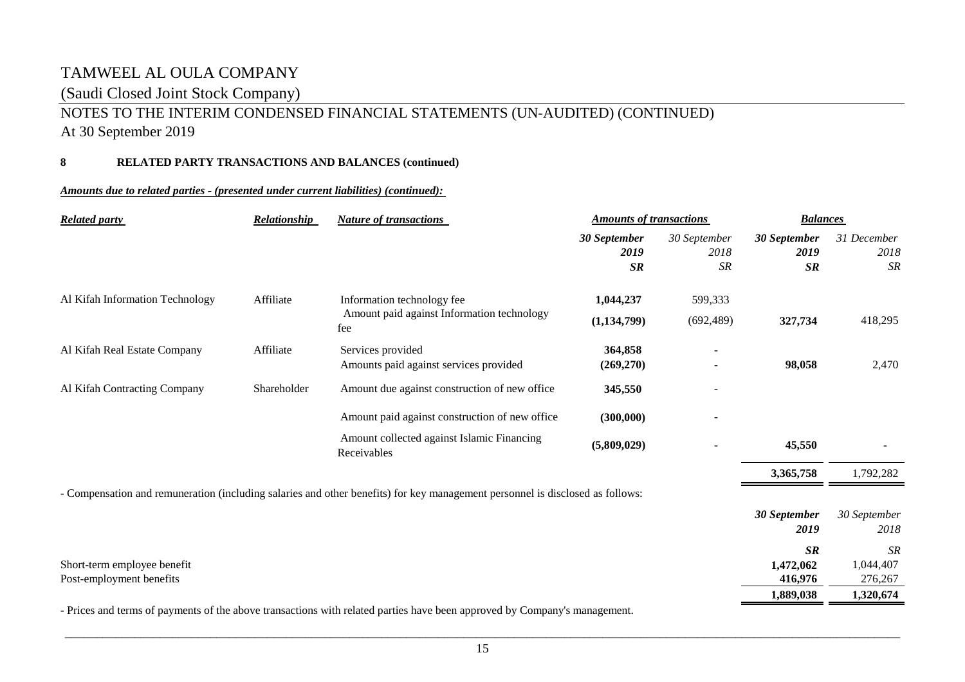## (Saudi Closed Joint Stock Company)

# NOTES TO THE INTERIM CONDENSED FINANCIAL STATEMENTS (UN-AUDITED) (CONTINUED)

At 30 September 2019

### **8 RELATED PARTY TRANSACTIONS AND BALANCES (continued)**

### *Amounts due to related parties ‑ (presented under current liabilities) (continued):*

| <b>Related party</b>                                    | Relationship | <b>Nature of transactions</b>                                                                                                 | <b>Amounts of transactions</b> |                                     | <b>Balances</b>            |                                   |  |
|---------------------------------------------------------|--------------|-------------------------------------------------------------------------------------------------------------------------------|--------------------------------|-------------------------------------|----------------------------|-----------------------------------|--|
|                                                         |              |                                                                                                                               | 30 September<br>2019<br>SR     | 30 September<br>2018<br>${\cal SR}$ | 30 September<br>2019<br>SR | 31 December<br>2018<br><b>SR</b>  |  |
| Al Kifah Information Technology                         | Affiliate    | Information technology fee<br>Amount paid against Information technology<br>fee                                               | 1,044,237<br>(1, 134, 799)     | 599,333<br>(692, 489)               | 327,734                    | 418,295                           |  |
| Al Kifah Real Estate Company                            | Affiliate    | Services provided<br>Amounts paid against services provided                                                                   | 364,858<br>(269, 270)          |                                     | 98,058                     | 2,470                             |  |
| Al Kifah Contracting Company                            | Shareholder  | Amount due against construction of new office                                                                                 | 345,550                        |                                     |                            |                                   |  |
|                                                         |              | Amount paid against construction of new office                                                                                | (300,000)                      |                                     |                            |                                   |  |
|                                                         |              | Amount collected against Islamic Financing<br>Receivables                                                                     | (5,809,029)                    |                                     | 45,550                     |                                   |  |
|                                                         |              |                                                                                                                               |                                |                                     | 3,365,758                  | 1,792,282                         |  |
|                                                         |              | - Compensation and remuneration (including salaries and other benefits) for key management personnel is disclosed as follows: |                                |                                     |                            |                                   |  |
|                                                         |              |                                                                                                                               |                                |                                     | 30 September<br>2019       | 30 September<br>2018              |  |
| Short-term employee benefit<br>Post-employment benefits |              |                                                                                                                               |                                |                                     | SR<br>1,472,062<br>416,976 | <b>SR</b><br>1,044,407<br>276,267 |  |
|                                                         |              |                                                                                                                               |                                |                                     | 1,889,038                  | 1,320,674                         |  |
|                                                         |              | - Prices and terms of payments of the above transactions with related parties have been approved by Company's management.     |                                |                                     |                            |                                   |  |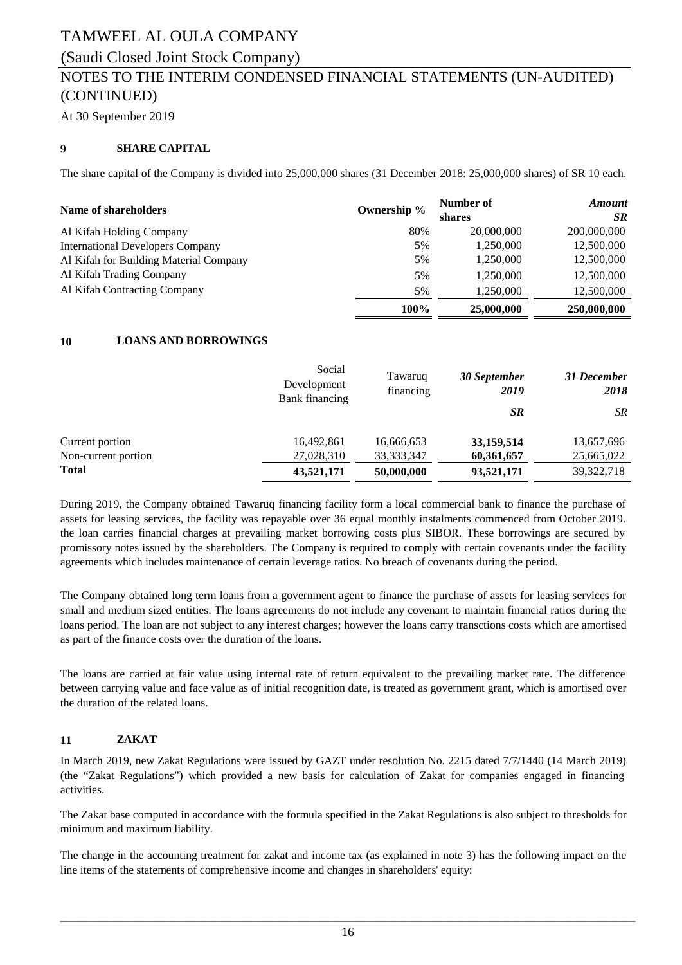# (Saudi Closed Joint Stock Company)

# NOTES TO THE INTERIM CONDENSED FINANCIAL STATEMENTS (UN-AUDITED) (CONTINUED)

At 30 September 2019

### **9 SHARE CAPITAL**

The share capital of the Company is divided into 25,000,000 shares (31 December 2018: 25,000,000 shares) of SR 10 each.

| Name of shareholders                    | Ownership % | Number of<br>shares | <b>Amount</b><br><b>SR</b> |
|-----------------------------------------|-------------|---------------------|----------------------------|
| Al Kifah Holding Company                | 80%         | 20,000,000          | 200,000,000                |
| <b>International Developers Company</b> | 5%          | 1,250,000           | 12,500,000                 |
| Al Kifah for Building Material Company  | 5%          | 1,250,000           | 12,500,000                 |
| Al Kifah Trading Company                | 5%          | 1,250,000           | 12,500,000                 |
| Al Kifah Contracting Company            | 5%          | 1,250,000           | 12,500,000                 |
|                                         | 100%        | 25,000,000          | 250,000,000                |

### **10 LOANS AND BORROWINGS**

|                     | Social<br>Development<br>Bank financing | Tawaruq<br>financing | 30 September<br>2019 | 31 December<br>2018 |
|---------------------|-----------------------------------------|----------------------|----------------------|---------------------|
|                     |                                         |                      | SR.                  | SR.                 |
| Current portion     | 16,492,861                              | 16,666,653           | 33,159,514           | 13,657,696          |
| Non-current portion | 27,028,310                              | 33, 333, 347         | 60,361,657           | 25,665,022          |
| <b>Total</b>        | 43,521,171                              | 50,000,000           | 93,521,171           | 39, 322, 718        |

During 2019, the Company obtained Tawaruq financing facility form a local commercial bank to finance the purchase of assets for leasing services, the facility was repayable over 36 equal monthly instalments commenced from October 2019. the loan carries financial charges at prevailing market borrowing costs plus SIBOR. These borrowings are secured by promissory notes issued by the shareholders. The Company is required to comply with certain covenants under the facility agreements which includes maintenance of certain leverage ratios. No breach of covenants during the period.

The Company obtained long term loans from a government agent to finance the purchase of assets for leasing services for small and medium sized entities. The loans agreements do not include any covenant to maintain financial ratios during the loans period. The loan are not subject to any interest charges; however the loans carry transctions costs which are amortised as part of the finance costs over the duration of the loans.

The loans are carried at fair value using internal rate of return equivalent to the prevailing market rate. The difference between carrying value and face value as of initial recognition date, is treated as government grant, which is amortised over the duration of the related loans.

### **11 ZAKAT**

In March 2019, new Zakat Regulations were issued by GAZT under resolution No. 2215 dated 7/7/1440 (14 March 2019) (the "Zakat Regulations") which provided a new basis for calculation of Zakat for companies engaged in financing activities.

The Zakat base computed in accordance with the formula specified in the Zakat Regulations is also subject to thresholds for minimum and maximum liability.

The change in the accounting treatment for zakat and income tax (as explained in note 3) has the following impact on the line items of the statements of comprehensive income and changes in shareholders' equity: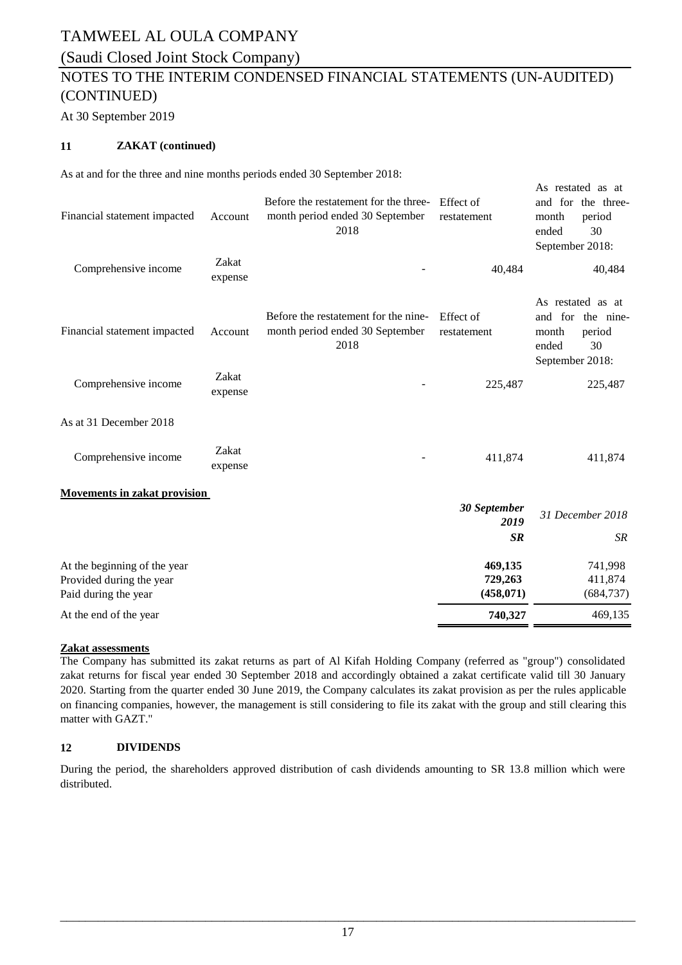# (Saudi Closed Joint Stock Company)

# NOTES TO THE INTERIM CONDENSED FINANCIAL STATEMENTS (UN-AUDITED) (CONTINUED)

At 30 September 2019

### **11 ZAKAT (continued)**

As at and for the three and nine months periods ended 30 September 2018:

| Financial statement impacted                     | Account          | Before the restatement for the three-<br>month period ended 30 September<br>2018 | Effect of<br>restatement | As restated as at<br>and for the three-<br>month<br>period<br>30<br>ended<br>September 2018: |
|--------------------------------------------------|------------------|----------------------------------------------------------------------------------|--------------------------|----------------------------------------------------------------------------------------------|
| Comprehensive income                             | Zakat<br>expense |                                                                                  | 40,484                   | 40,484                                                                                       |
| Financial statement impacted                     | Account          | Before the restatement for the nine-<br>month period ended 30 September<br>2018  | Effect of<br>restatement | As restated as at<br>and for the nine-<br>month<br>period<br>ended<br>30<br>September 2018:  |
| Comprehensive income                             | Zakat<br>expense |                                                                                  | 225,487                  | 225,487                                                                                      |
| As at 31 December 2018                           |                  |                                                                                  |                          |                                                                                              |
| Comprehensive income                             | Zakat<br>expense |                                                                                  | 411,874                  | 411,874                                                                                      |
| <b>Movements in zakat provision</b>              |                  |                                                                                  |                          |                                                                                              |
|                                                  |                  |                                                                                  | 30 September<br>2019     | 31 December 2018                                                                             |
|                                                  |                  |                                                                                  | <b>SR</b>                | SR                                                                                           |
| At the beginning of the year                     |                  |                                                                                  | 469,135                  | 741,998                                                                                      |
| Provided during the year<br>Paid during the year |                  |                                                                                  | 729,263<br>(458, 071)    | 411,874<br>(684, 737)                                                                        |
| At the end of the year                           |                  |                                                                                  | 740,327                  | 469,135                                                                                      |

### **Zakat assessments**

The Company has submitted its zakat returns as part of Al Kifah Holding Company (referred as "group") consolidated zakat returns for fiscal year ended 30 September 2018 and accordingly obtained a zakat certificate valid till 30 January 2020. Starting from the quarter ended 30 June 2019, the Company calculates its zakat provision as per the rules applicable on financing companies, however, the management is still considering to file its zakat with the group and still clearing this matter with GAZT."

### **12 DIVIDENDS**

During the period, the shareholders approved distribution of cash dividends amounting to SR 13.8 million which were distributed.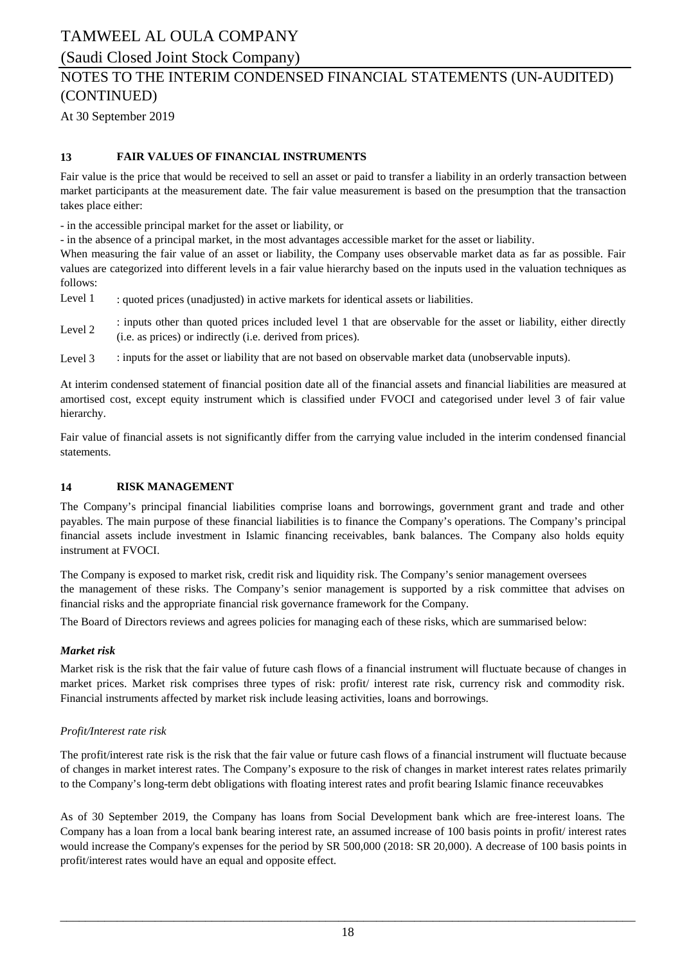(Saudi Closed Joint Stock Company)

# NOTES TO THE INTERIM CONDENSED FINANCIAL STATEMENTS (UN-AUDITED) (CONTINUED)

At 30 September 2019

### **13 FAIR VALUES OF FINANCIAL INSTRUMENTS**

Fair value is the price that would be received to sell an asset or paid to transfer a liability in an orderly transaction between market participants at the measurement date. The fair value measurement is based on the presumption that the transaction takes place either:

- in the accessible principal market for the asset or liability, or

- in the absence of a principal market, in the most advantages accessible market for the asset or liability.

When measuring the fair value of an asset or liability, the Company uses observable market data as far as possible. Fair values are categorized into different levels in a fair value hierarchy based on the inputs used in the valuation techniques as follows:

Level 1 : quoted prices (unadjusted) in active markets for identical assets or liabilities.

Level 2 : inputs other than quoted prices included level 1 that are observable for the asset or liability, either directly (i.e. as prices) or indirectly (i.e. derived from prices).

Level 3 : inputs for the asset or liability that are not based on observable market data (unobservable inputs).

At interim condensed statement of financial position date all of the financial assets and financial liabilities are measured at amortised cost, except equity instrument which is classified under FVOCI and categorised under level 3 of fair value hierarchy.

Fair value of financial assets is not significantly differ from the carrying value included in the interim condensed financial statements.

### **14 RISK MANAGEMENT**

The Company's principal financial liabilities comprise loans and borrowings, government grant and trade and other payables. The main purpose of these financial liabilities is to finance the Company's operations. The Company's principal financial assets include investment in Islamic financing receivables, bank balances. The Company also holds equity instrument at FVOCI.

The Company is exposed to market risk, credit risk and liquidity risk. The Company's senior management oversees the management of these risks. The Company's senior management is supported by a risk committee that advises on financial risks and the appropriate financial risk governance framework for the Company.

The Board of Directors reviews and agrees policies for managing each of these risks, which are summarised below:

### *Market risk*

Market risk is the risk that the fair value of future cash flows of a financial instrument will fluctuate because of changes in market prices. Market risk comprises three types of risk: profit/ interest rate risk, currency risk and commodity risk. Financial instruments affected by market risk include leasing activities, loans and borrowings.

### *Profit/Interest rate risk*

The profit/interest rate risk is the risk that the fair value or future cash flows of a financial instrument will fluctuate because of changes in market interest rates. The Company's exposure to the risk of changes in market interest rates relates primarily to the Company's long-term debt obligations with floating interest rates and profit bearing Islamic finance receuvabkes

As of 30 September 2019, the Company has loans from Social Development bank which are free-interest loans. The Company has a loan from a local bank bearing interest rate, an assumed increase of 100 basis points in profit/ interest rates would increase the Company's expenses for the period by SR 500,000 (2018: SR 20,000). A decrease of 100 basis points in profit/interest rates would have an equal and opposite effect.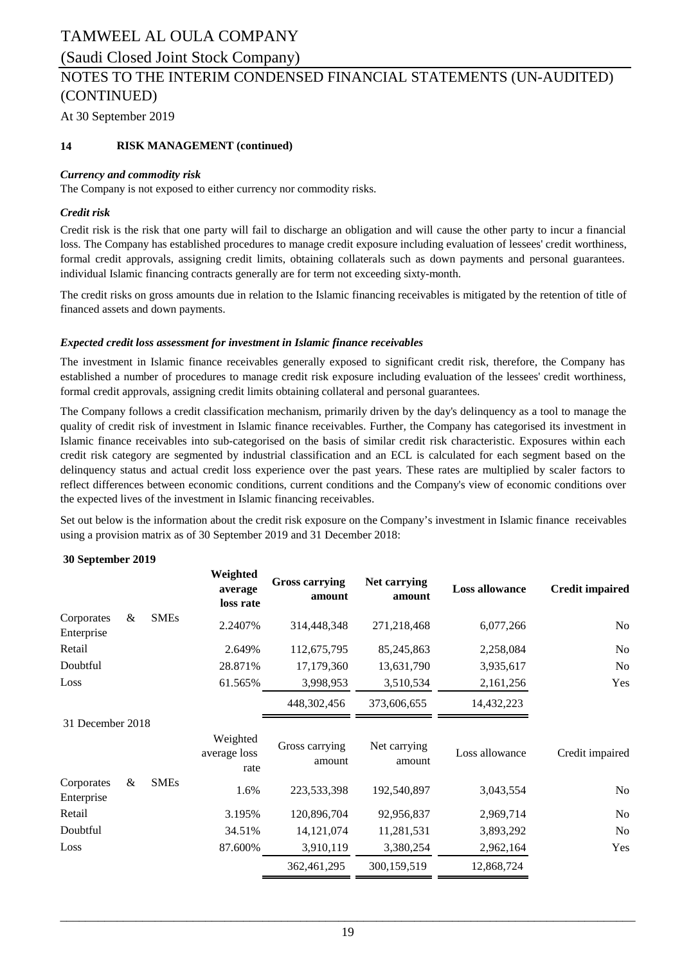### (Saudi Closed Joint Stock Company)

### NOTES TO THE INTERIM CONDENSED FINANCIAL STATEMENTS (UN-AUDITED) (CONTINUED)

At 30 September 2019

### **14 RISK MANAGEMENT (continued)**

#### *Currency and commodity risk*

The Company is not exposed to either currency nor commodity risks.

### *Credit risk*

Credit risk is the risk that one party will fail to discharge an obligation and will cause the other party to incur a financial loss. The Company has established procedures to manage credit exposure including evaluation of lessees' credit worthiness, formal credit approvals, assigning credit limits, obtaining collaterals such as down payments and personal guarantees. individual Islamic financing contracts generally are for term not exceeding sixty-month.

The credit risks on gross amounts due in relation to the Islamic financing receivables is mitigated by the retention of title of financed assets and down payments.

#### *Expected credit loss assessment for investment in Islamic finance receivables*

The investment in Islamic finance receivables generally exposed to significant credit risk, therefore, the Company has established a number of procedures to manage credit risk exposure including evaluation of the lessees' credit worthiness, formal credit approvals, assigning credit limits obtaining collateral and personal guarantees.

The Company follows a credit classification mechanism, primarily driven by the day's delinquency as a tool to manage the quality of credit risk of investment in Islamic finance receivables. Further, the Company has categorised its investment in Islamic finance receivables into sub-categorised on the basis of similar credit risk characteristic. Exposures within each credit risk category are segmented by industrial classification and an ECL is calculated for each segment based on the delinquency status and actual credit loss experience over the past years. These rates are multiplied by scaler factors to reflect differences between economic conditions, current conditions and the Company's view of economic conditions over the expected lives of the investment in Islamic financing receivables.

Set out below is the information about the credit risk exposure on the Company's investment in Islamic finance receivables using a provision matrix as of 30 September 2019 and 31 December 2018:

#### **30 September 2019**

|                          |   |             | Weighted<br>average<br>loss rate | <b>Gross carrying</b><br>amount | Net carrying<br>amount | <b>Loss allowance</b> | <b>Credit impaired</b> |
|--------------------------|---|-------------|----------------------------------|---------------------------------|------------------------|-----------------------|------------------------|
| Corporates<br>Enterprise | & | <b>SMEs</b> | 2.2407%                          | 314,448,348                     | 271,218,468            | 6,077,266             | N <sub>0</sub>         |
| Retail                   |   |             | 2.649%                           | 112,675,795                     | 85,245,863             | 2,258,084             | N <sub>o</sub>         |
| Doubtful                 |   |             | 28.871%                          | 17,179,360                      | 13,631,790             | 3,935,617             | N <sub>o</sub>         |
| Loss                     |   |             | 61.565%                          | 3,998,953                       | 3,510,534              | 2,161,256             | Yes                    |
|                          |   |             |                                  | 448,302,456                     | 373,606,655            | 14,432,223            |                        |
| 31 December 2018         |   |             |                                  |                                 |                        |                       |                        |
|                          |   |             | Weighted<br>average loss<br>rate | Gross carrying<br>amount        | Net carrying<br>amount | Loss allowance        | Credit impaired        |
| Corporates<br>Enterprise | & | <b>SMEs</b> | 1.6%                             | 223,533,398                     | 192,540,897            | 3,043,554             | N <sub>o</sub>         |
| Retail                   |   |             | 3.195%                           | 120,896,704                     | 92,956,837             | 2,969,714             | N <sub>o</sub>         |
| Doubtful                 |   |             | 34.51%                           | 14, 121, 074                    | 11,281,531             | 3,893,292             | N <sub>o</sub>         |
| Loss                     |   |             | 87.600%                          | 3,910,119                       | 3,380,254              | 2,962,164             | Yes                    |
|                          |   |             |                                  | 362,461,295                     | 300,159,519            | 12,868,724            |                        |